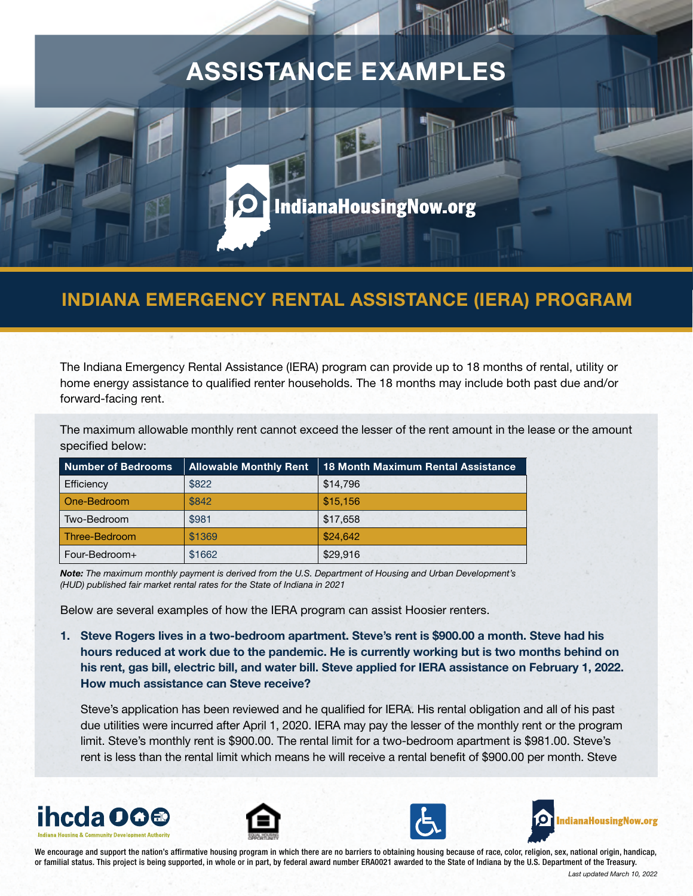# ASSISTANCE EXAMPLES

# INDIANA EMERGENCY RENTAL ASSISTANCE (IERA) PROGRAM

IndianaHousingNow.org

The Indiana Emergency Rental Assistance (IERA) program can provide up to 18 months of rental, utility or home energy assistance to qualified renter households. The 18 months may include both past due and/or forward-facing rent.

The maximum allowable monthly rent cannot exceed the lesser of the rent amount in the lease or the amount specified below:

| Number of Bedrooms | <b>Allowable Monthly Rent</b> | <b>18 Month Maximum Rental Assistance</b> |
|--------------------|-------------------------------|-------------------------------------------|
| Efficiency         | \$822                         | \$14,796                                  |
| One-Bedroom        | \$842                         | \$15,156                                  |
| Two-Bedroom        | \$981                         | \$17,658                                  |
| Three-Bedroom      | \$1369                        | \$24,642                                  |
| Four-Bedroom+      | \$1662                        | \$29,916                                  |

*Note: The maximum monthly payment is derived from the U.S. Department of Housing and Urban Development's (HUD) published fair market rental rates for the State of Indiana in 2021*

Below are several examples of how the IERA program can assist Hoosier renters.

1. Steve Rogers lives in a two-bedroom apartment. Steve's rent is \$900.00 a month. Steve had his hours reduced at work due to the pandemic. He is currently working but is two months behind on his rent, gas bill, electric bill, and water bill. Steve applied for IERA assistance on February 1, 2022. How much assistance can Steve receive?

Steve's application has been reviewed and he qualified for IERA. His rental obligation and all of his past due utilities were incurred after April 1, 2020. IERA may pay the lesser of the monthly rent or the program limit. Steve's monthly rent is \$900.00. The rental limit for a two-bedroom apartment is \$981.00. Steve's rent is less than the rental limit which means he will receive a rental benefit of \$900.00 per month. Steve









We encourage and support the nation's affirmative housing program in which there are no barriers to obtaining housing because of race, color, religion, sex, national origin, handicap, or familial status. This project is being supported, in whole or in part, by federal award number ERA0021 awarded to the State of Indiana by the U.S. Department of the Treasury.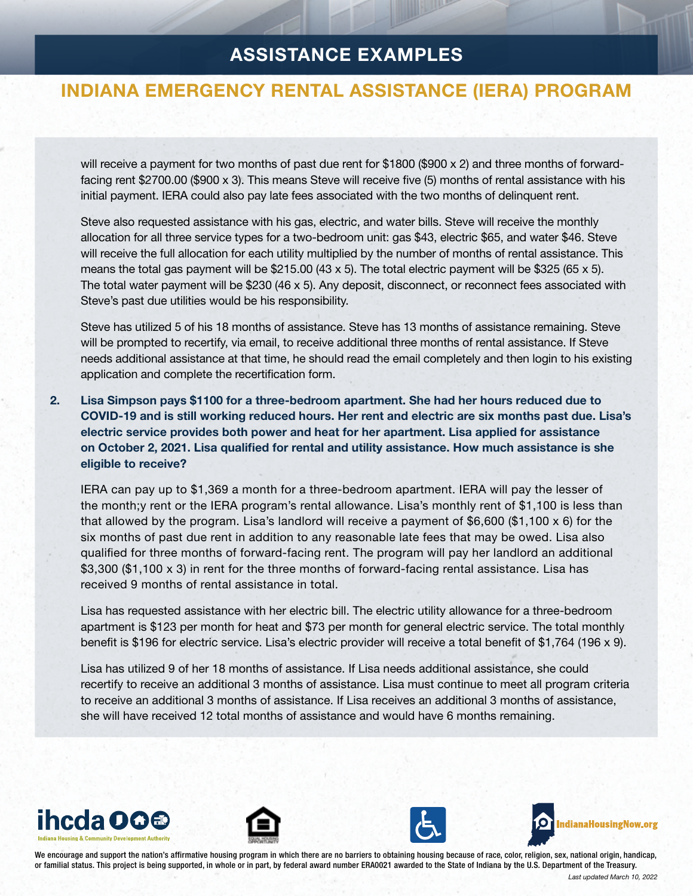## ASSISTANCE EXAMPLES

#### INDIANA EMERGENCY RENTAL ASSISTANCE (IERA) PROGRAM

will receive a payment for two months of past due rent for \$1800 (\$900  $\times$  2) and three months of forwardfacing rent \$2700.00 (\$900 x 3). This means Steve will receive five (5) months of rental assistance with his initial payment. IERA could also pay late fees associated with the two months of delinquent rent.

Steve also requested assistance with his gas, electric, and water bills. Steve will receive the monthly allocation for all three service types for a two-bedroom unit: gas \$43, electric \$65, and water \$46. Steve will receive the full allocation for each utility multiplied by the number of months of rental assistance. This means the total gas payment will be  $$215.00$  (43 x 5). The total electric payment will be  $$325$  (65 x 5). The total water payment will be \$230 (46 x 5). Any deposit, disconnect, or reconnect fees associated with Steve's past due utilities would be his responsibility.

Steve has utilized 5 of his 18 months of assistance. Steve has 13 months of assistance remaining. Steve will be prompted to recertify, via email, to receive additional three months of rental assistance. If Steve needs additional assistance at that time, he should read the email completely and then login to his existing application and complete the recertification form.

2. Lisa Simpson pays \$1100 for a three-bedroom apartment. She had her hours reduced due to COVID-19 and is still working reduced hours. Her rent and electric are six months past due. Lisa's electric service provides both power and heat for her apartment. Lisa applied for assistance on October 2, 2021. Lisa qualified for rental and utility assistance. How much assistance is she eligible to receive?

IERA can pay up to \$1,369 a month for a three-bedroom apartment. IERA will pay the lesser of the month;y rent or the IERA program's rental allowance. Lisa's monthly rent of \$1,100 is less than that allowed by the program. Lisa's landlord will receive a payment of \$6,600 (\$1,100 x 6) for the six months of past due rent in addition to any reasonable late fees that may be owed. Lisa also qualified for three months of forward-facing rent. The program will pay her landlord an additional \$3,300 (\$1,100 x 3) in rent for the three months of forward-facing rental assistance. Lisa has received 9 months of rental assistance in total.

Lisa has requested assistance with her electric bill. The electric utility allowance for a three-bedroom apartment is \$123 per month for heat and \$73 per month for general electric service. The total monthly benefit is \$196 for electric service. Lisa's electric provider will receive a total benefit of \$1,764 (196 x 9).

Lisa has utilized 9 of her 18 months of assistance. If Lisa needs additional assistance, she could recertify to receive an additional 3 months of assistance. Lisa must continue to meet all program criteria to receive an additional 3 months of assistance. If Lisa receives an additional 3 months of assistance, she will have received 12 total months of assistance and would have 6 months remaining.









We encourage and support the nation's affirmative housing program in which there are no barriers to obtaining housing because of race, color, religion, sex, national origin, handicap, or familial status. This project is being supported, in whole or in part, by federal award number ERA0021 awarded to the State of Indiana by the U.S. Department of the Treasury.